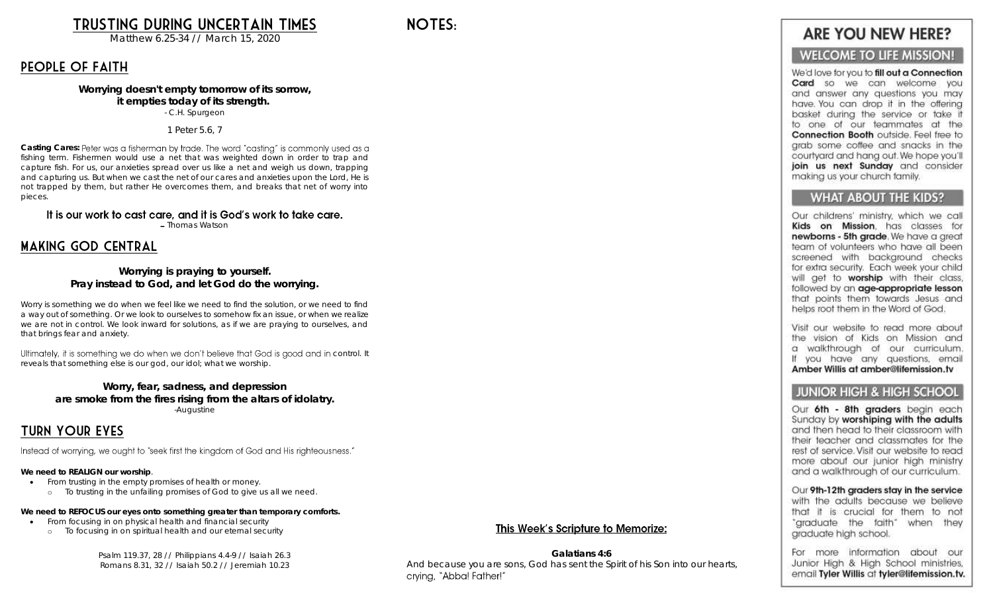Trusting During Uncertain Times

Matthew 6.25-34 // March 15, 2020

### People of Faith

Worrying doesn't empty tomorrow of its sorrow, it empties today of its strength. - C.H. Spurgeon

1 Peter 5.6, 7

Casting Cares: Peter was a fisherman by trade. The word "casting" is commonly used as a fishing term. Fishermen would use a net that was weighted down in order to trap and capture fish. For us, our anxieties spread over us like a net and weigh us down, trapping and capturing us. But when we cast the net of our cares and anxieties upon the Lord, He is not trapped by them, but rather He overcomes them, and breaks that net of worry into pieces.

It is our work to cast care, and it is God's work to take care.

- Thomas Watson

### Making God Central

Worrying is praying to yourself. Pray instead to God, and let God do the worrying.

Worry is something we do when we feel like we need to find the solution, or we need to find a way out of something. Or we look to ourselves to somehow fix an issue, or when we realize we are not in control. We look inward for solutions, as if we are praying to ourselves, and that brings fear and anxiety.

Ultimately, it is something we do when we don't believe that God is good and in control. It reveals that something else is our god, our idol; what we worship.

Worry, fear, sadness, and depression are smoke from the fires rising from the altars of idolatry. -Augustine

### Turn Your Eyes

Instead of worrying, we ought to "seek first the kingdom of God and His righteousness."

We need to REALIGN our worship.

- From trusting in the empty promises of health or money.
	- o To trusting in the unfailing promises of God to give us all we need.

We need to REFOCUS our eyes onto something greater than temporary comforts.

- From focusing in on physical health and financial security
	- o To focusing in on spiritual health and our eternal security

Psalm 119.37, 28 // Philippians 4.4-9 // Isaiah 26.3 Romans 8.31, 32 // Isaiah 50.2 // Jeremiah 10.23

This Week's Scripture to Memorize:

Galatians 4:6 And because you are sons, God has sent the Spirit of his Son into our hearts, crvina, "Abba! Father!"

# **ARE YOU NEW HERE?**

### **WELCOME TO LIFE MISSION!**

We'd love for you to fill out a Connection Card so we can welcome you and answer any questions you may have. You can drop it in the offering basket during the service or take it to one of our teammates at the Connection Booth outside. Feel free to arab some coffee and snacks in the courtyard and hang out. We hope you'll join us next Sunday and consider making us your church family.

#### **WHAT ABOUT THE KIDS?**

Our childrens' ministry, which we call Kids on Mission. has classes for newborns - 5th grade. We have a great team of volunteers who have all been screened with backaround checks for extra security. Each week your child will get to worship with their class, followed by an age-appropriate lesson that points them towards Jesus and helps root them in the Word of God.

Visit our website to read more about the vision of Kids on Mission and a walkthrough of our curriculum. If you have any questions, email Amber Willis at amber@lifemission.tv

#### **JUNIOR HIGH & HIGH SCHOOL**

Our 6th - 8th graders begin each Sunday by worshiping with the adults and then head to their classroom with their teacher and classmates for the rest of service. Visit our website to read more about our junior high ministry and a walkthrough of our curriculum.

Our 9th-12th graders stay in the service with the adults because we believe that it is crucial for them to not "graduate the faith" when they araduate high school.

For more information about our Junior High & High School ministries, email Tyler Willis at tyler@lifemission.tv.

NOTES.